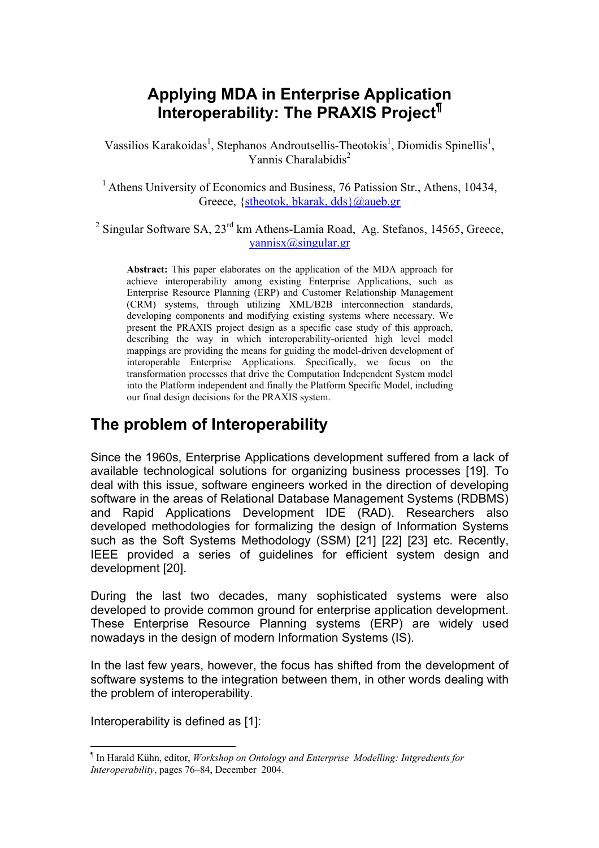# **Applying MDA in Enterprise Application Interoperability: The PRAXIS Project[¶](#page-0-0)**

Vassilios Karakoidas<sup>1</sup>, Stephanos Androutsellis-Theotokis<sup>1</sup>, Diomidis Spinellis<sup>1</sup>, Yannis Charalabidis<sup>2</sup>

<sup>1</sup> Athens University of Economics and Business, 76 Patission Str., Athens, 10434, Greece, [{stheotok, bkarak, dds}@aueb.gr](mailto:stheotok, bkarak, dds}@aueb.gr)

<sup>2</sup> Singular Software SA,  $23^{\text{rd}}$  km Athens-Lamia Road, Ag. Stefanos, 14565, Greece, [yannisx@singular.gr](mailto:yannisx@singular.gr)

**Abstract:** This paper elaborates on the application of the MDA approach for achieve interoperability among existing Enterprise Applications, such as Enterprise Resource Planning (ERP) and Customer Relationship Management (CRM) systems, through utilizing XML/B2B interconnection standards, developing components and modifying existing systems where necessary. We present the PRAXIS project design as a specific case study of this approach, describing the way in which interoperability-oriented high level model mappings are providing the means for guiding the model-driven development of interoperable Enterprise Applications. Specifically, we focus on the transformation processes that drive the Computation Independent System model into the Platform independent and finally the Platform Specific Model, including our final design decisions for the PRAXIS system.

### **The problem of Interoperability**

Since the 1960s, Enterprise Applications development suffered from a lack of available technological solutions for organizing business processes [19]. To deal with this issue, software engineers worked in the direction of developing software in the areas of Relational Database Management Systems (RDBMS) and Rapid Applications Development IDE (RAD). Researchers also developed methodologies for formalizing the design of Information Systems such as the Soft Systems Methodology (SSM) [21] [22] [23] etc. Recently, IEEE provided a series of guidelines for efficient system design and development [20].

During the last two decades, many sophisticated systems were also developed to provide common ground for enterprise application development. These Enterprise Resource Planning systems (ERP) are widely used nowadays in the design of modern Information Systems (IS).

In the last few years, however, the focus has shifted from the development of software systems to the integration between them, in other words dealing with the problem of interoperability.

Interoperability is defined as [1]:

<span id="page-0-0"></span> $\overline{a}$ ¶ In Harald Kühn, editor, *Workshop on Ontology and Enterprise Modelling: Intgredients for Interoperability*, pages 76–84, December 2004.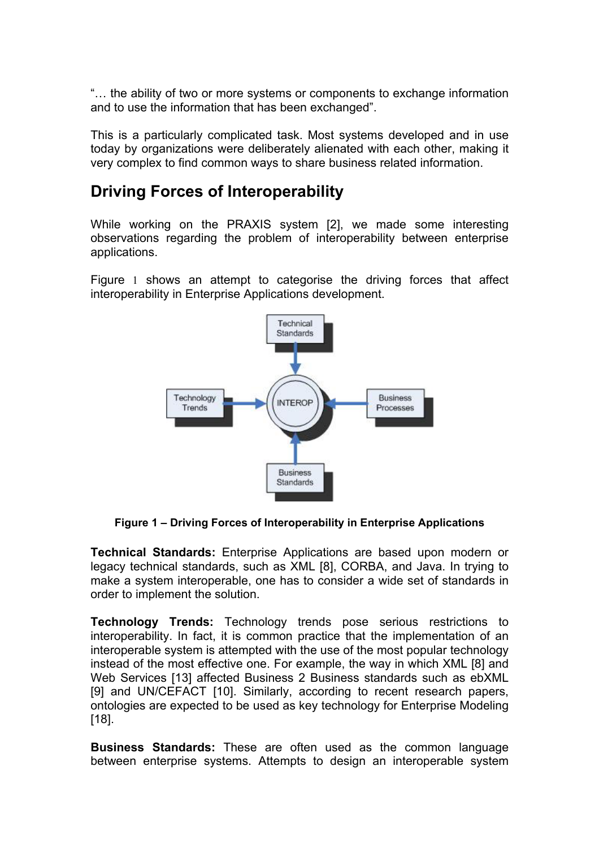"… the ability of two or more systems or components to exchange information and to use the information that has been exchanged".

This is a particularly complicated task. Most systems developed and in use today by organizations were deliberately alienated with each other, making it very complex to find common ways to share business related information.

# **Driving Forces of Interoperability**

While working on the PRAXIS system [2], we made some interesting observations regarding the problem of interoperability between enterprise applications.

[Figure](#page-1-0) 1 shows an attempt to categorise the driving forces that affect interoperability in Enterprise Applications development.

<span id="page-1-0"></span>

**Figure 1 – Driving Forces of Interoperability in Enterprise Applications** 

**Technical Standards:** Enterprise Applications are based upon modern or legacy technical standards, such as XML [8], CORBA, and Java. In trying to make a system interoperable, one has to consider a wide set of standards in order to implement the solution.

**Technology Trends:** Technology trends pose serious restrictions to interoperability. In fact, it is common practice that the implementation of an interoperable system is attempted with the use of the most popular technology instead of the most effective one. For example, the way in which XML [8] and Web Services [13] affected Business 2 Business standards such as ebXML [9] and UN/CEFACT [10]. Similarly, according to recent research papers, ontologies are expected to be used as key technology for Enterprise Modeling [18].

**Business Standards:** These are often used as the common language between enterprise systems. Attempts to design an interoperable system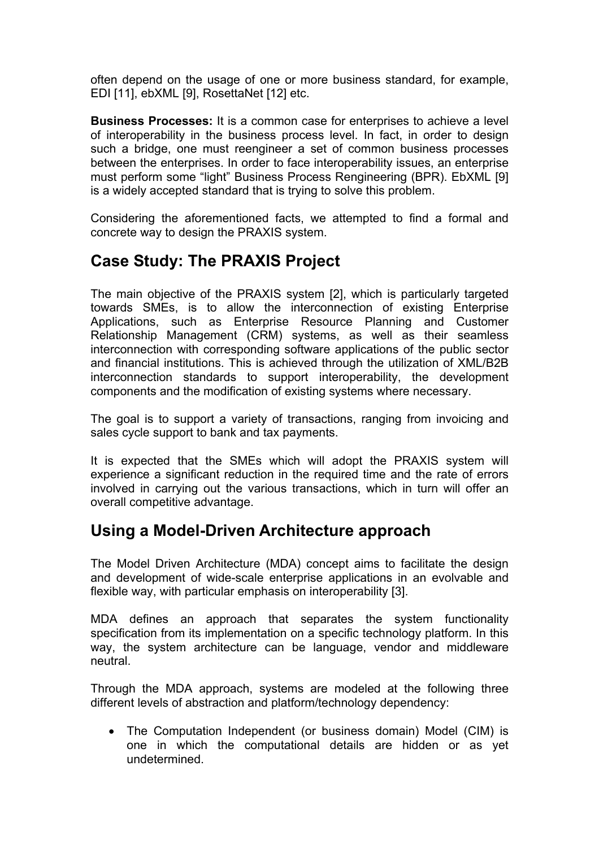often depend on the usage of one or more business standard, for example, EDI [11], ebXML [9], RosettaNet [12] etc.

**Business Processes:** It is a common case for enterprises to achieve a level of interoperability in the business process level. In fact, in order to design such a bridge, one must reengineer a set of common business processes between the enterprises. In order to face interoperability issues, an enterprise must perform some "light" Business Process Rengineering (BPR). EbXML [9] is a widely accepted standard that is trying to solve this problem.

Considering the aforementioned facts, we attempted to find a formal and concrete way to design the PRAXIS system.

# **Case Study: The PRAXIS Project**

The main objective of the PRAXIS system [2], which is particularly targeted towards SMEs, is to allow the interconnection of existing Enterprise Applications, such as Enterprise Resource Planning and Customer Relationship Management (CRM) systems, as well as their seamless interconnection with corresponding software applications of the public sector and financial institutions. This is achieved through the utilization of XML/B2B interconnection standards to support interoperability, the development components and the modification of existing systems where necessary.

The goal is to support a variety of transactions, ranging from invoicing and sales cycle support to bank and tax payments.

It is expected that the SMEs which will adopt the PRAXIS system will experience a significant reduction in the required time and the rate of errors involved in carrying out the various transactions, which in turn will offer an overall competitive advantage.

### **Using a Model-Driven Architecture approach**

The Model Driven Architecture (MDA) concept aims to facilitate the design and development of wide-scale enterprise applications in an evolvable and flexible way, with particular emphasis on interoperability [3].

MDA defines an approach that separates the system functionality specification from its implementation on a specific technology platform. In this way, the system architecture can be language, vendor and middleware neutral.

Through the MDA approach, systems are modeled at the following three different levels of abstraction and platform/technology dependency:

• The Computation Independent (or business domain) Model (CIM) is one in which the computational details are hidden or as yet undetermined.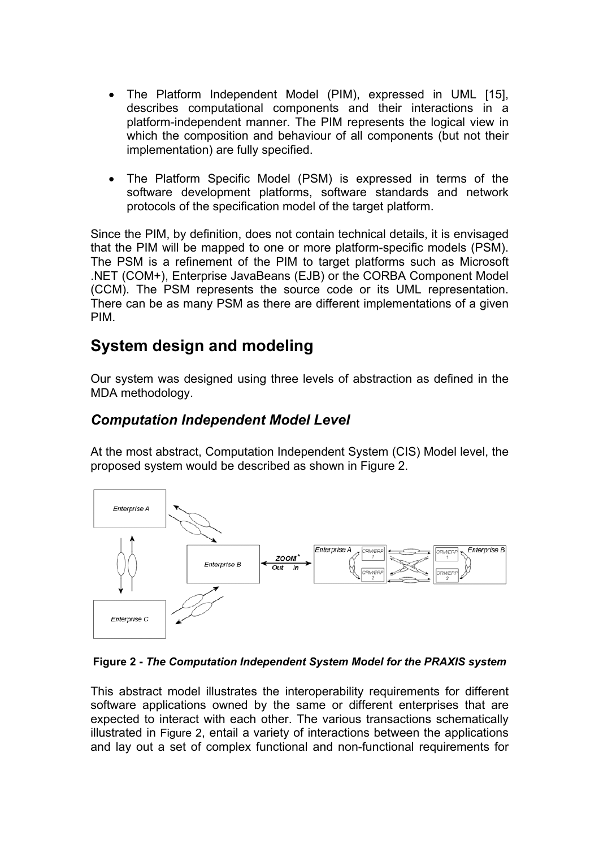- The Platform Independent Model (PIM), expressed in UML [15], describes computational components and their interactions in a platform-independent manner. The PIM represents the logical view in which the composition and behaviour of all components (but not their implementation) are fully specified.
- The Platform Specific Model (PSM) is expressed in terms of the software development platforms, software standards and network protocols of the specification model of the target platform.

Since the PIM, by definition, does not contain technical details, it is envisaged that the PIM will be mapped to one or more platform-specific models (PSM). The PSM is a refinement of the PIM to target platforms such as Microsoft .NET (COM+), Enterprise JavaBeans (EJB) or the CORBA Component Model (CCM). The PSM represents the source code or its UML representation. There can be as many PSM as there are different implementations of a given PIM.

# **System design and modeling**

Our system was designed using three levels of abstraction as defined in the MDA methodology.

#### *Computation Independent Model Level*

At the most abstract, Computation Independent System (CIS) Model level, the proposed system would be described as shown in Figure 2.

<span id="page-3-0"></span>

**Figure 2 -** *The Computation Independent System Model for the PRAXIS system* 

This abstract model illustrates the interoperability requirements for different software applications owned by the same or different enterprises that are expected to interact with each other. The various transactions schematically illustrated in [Figure 2,](#page-3-0) entail a variety of interactions between the applications and lay out a set of complex functional and non-functional requirements for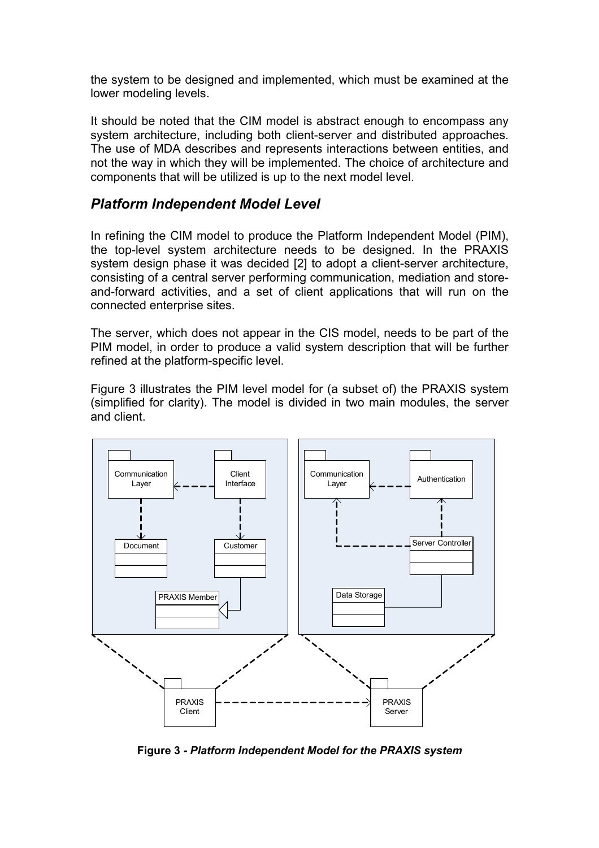the system to be designed and implemented, which must be examined at the lower modeling levels.

It should be noted that the CIM model is abstract enough to encompass any system architecture, including both client-server and distributed approaches. The use of MDA describes and represents interactions between entities, and not the way in which they will be implemented. The choice of architecture and components that will be utilized is up to the next model level.

#### *Platform Independent Model Level*

In refining the CIM model to produce the Platform Independent Model (PIM), the top-level system architecture needs to be designed. In the PRAXIS system design phase it was decided [2] to adopt a client-server architecture, consisting of a central server performing communication, mediation and storeand-forward activities, and a set of client applications that will run on the connected enterprise sites.

The server, which does not appear in the CIS model, needs to be part of the PIM model, in order to produce a valid system description that will be further refined at the platform-specific level.

Figure 3 illustrates the PIM level model for (a subset of) the PRAXIS system (simplified for clarity). The model is divided in two main modules, the server and client.



**Figure 3 -** *Platform Independent Model for the PRAXIS system*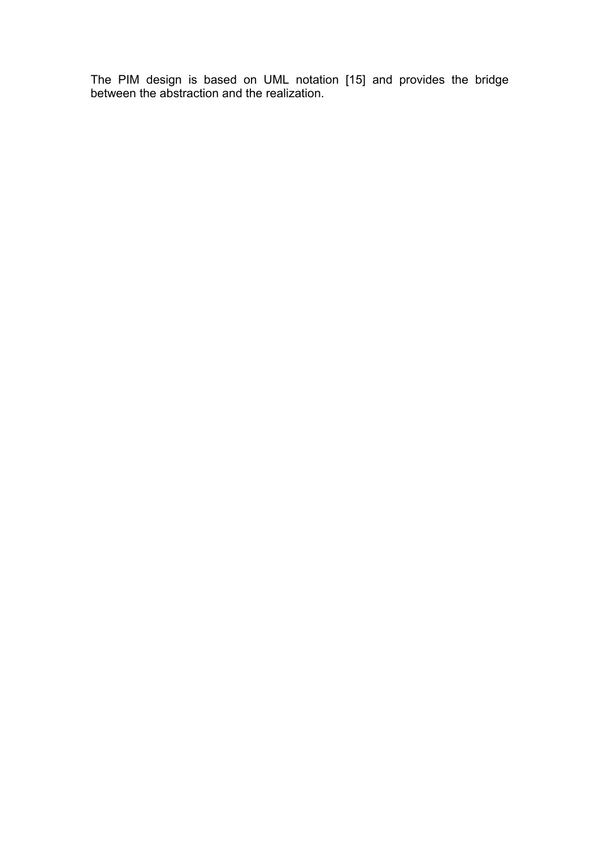The PIM design is based on UML notation [15] and provides the bridge between the abstraction and the realization.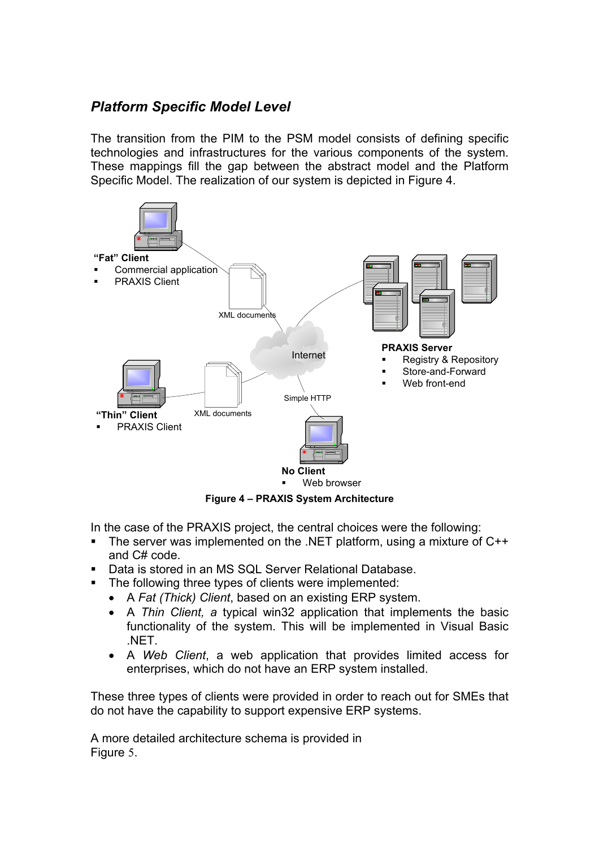#### *Platform Specific Model Level*

The transition from the PIM to the PSM model consists of defining specific technologies and infrastructures for the various components of the system. These mappings fill the gap between the abstract model and the Platform Specific Model. The realization of our system is depicted in Figure 4.



**Figure 4 – PRAXIS System Architecture** 

In the case of the PRAXIS project, the central choices were the following:

- The server was implemented on the .NET platform, using a mixture of C++ and C# code.
- **Data is stored in an MS SQL Server Relational Database.**
- **The following three types of clients were implemented:** 
	- A *Fat (Thick) Client*, based on an existing ERP system.
	- A *Thin Client, a* typical win32 application that implements the basic functionality of the system. This will be implemented in Visual Basic .NET.
	- A *Web Client*, a web application that provides limited access for enterprises, which do not have an ERP system installed.

These three types of clients were provided in order to reach out for SMEs that do not have the capability to support expensive ERP systems.

A more detailed architecture schema is provided in [Figure](#page-7-0) 5.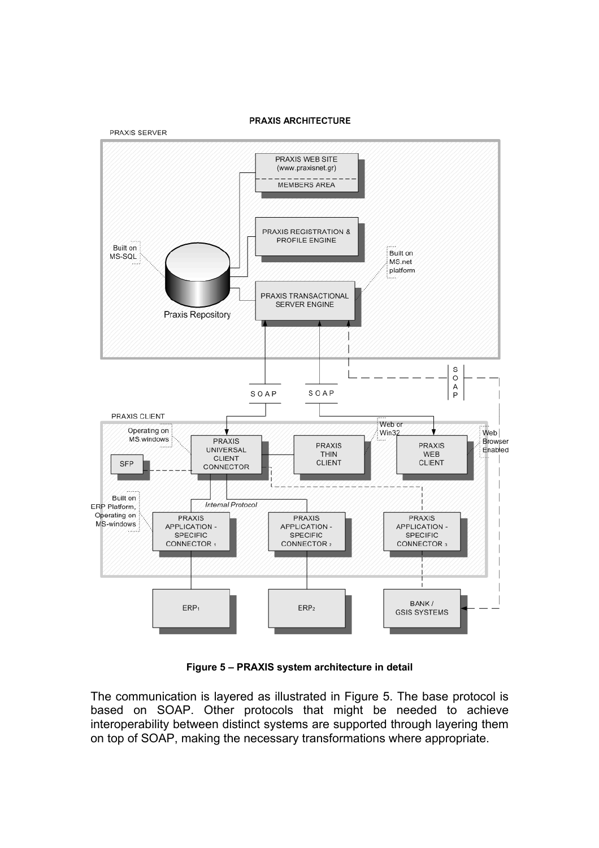

<span id="page-7-0"></span>**PRAXIS ARCHITECTURE** 

**Figure 5 – PRAXIS system architecture in detail** 

The communication is layered as illustrated in Figure 5. The base protocol is based on SOAP. Other protocols that might be needed to achieve interoperability between distinct systems are supported through layering them on top of SOAP, making the necessary transformations where appropriate.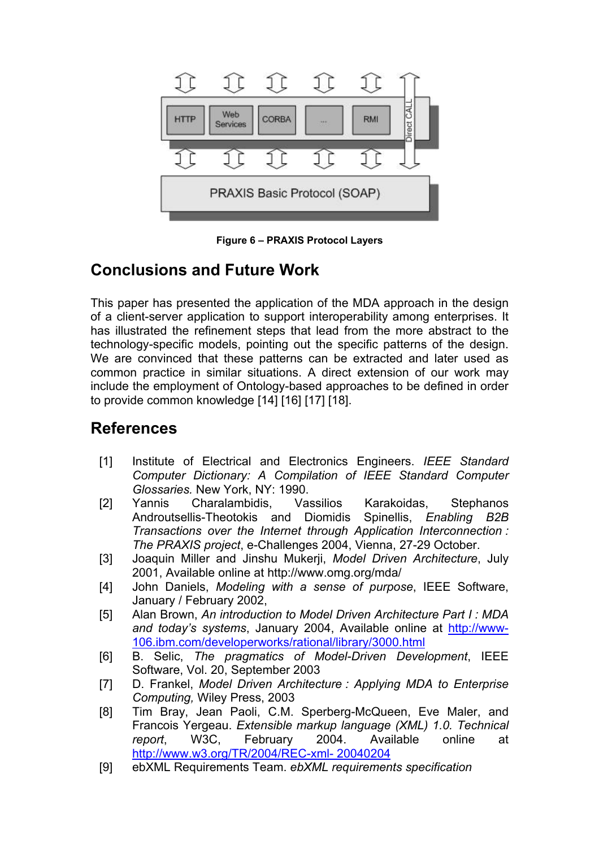

**Figure 6 – PRAXIS Protocol Layers** 

# **Conclusions and Future Work**

This paper has presented the application of the MDA approach in the design of a client-server application to support interoperability among enterprises. It has illustrated the refinement steps that lead from the more abstract to the technology-specific models, pointing out the specific patterns of the design. We are convinced that these patterns can be extracted and later used as common practice in similar situations. A direct extension of our work may include the employment of Ontology-based approaches to be defined in order to provide common knowledge [14] [16] [17] [18].

### **References**

- [1] Institute of Electrical and Electronics Engineers. *IEEE Standard Computer Dictionary: A Compilation of IEEE Standard Computer Glossaries.* New York, NY: 1990.
- [2] Yannis Charalambidis, Vassilios Karakoidas, Stephanos Androutsellis-Theotokis and Diomidis Spinellis, *Enabling B2B Transactions over the Internet through Application Interconnection : The PRAXIS project*, e-Challenges 2004, Vienna, 27-29 October.
- [3] Joaquin Miller and Jinshu Mukerji, *Model Driven Architecture*, July 2001, Available online at http://www.omg.org/mda/
- [4] John Daniels, *Modeling with a sense of purpose*, IEEE Software, January / February 2002,
- [5] Alan Brown, *An introduction to Model Driven Architecture Part I : MDA and today's systems*, January 2004, Available online at [http://www-](http://www-106.ibm.com/developerworks/rational/library/3000.html)[106.ibm.com/developerworks/rational/library/3000.html](http://www-106.ibm.com/developerworks/rational/library/3000.html)
- [6] B. Selic, *The pragmatics of Model-Driven Development*, IEEE Software, Vol. 20, September 2003
- [7] D. Frankel, *Model Driven Architecture : Applying MDA to Enterprise Computing,* Wiley Press, 2003
- [8] Tim Bray, Jean Paoli, C.M. Sperberg-McQueen, Eve Maler, and Francois Yergeau. *Extensible markup language (XML) 1.0. Technical report*, W3C, February 2004. Available online at <http://www.w3.org/TR/2004/REC-xml- 20040204>
- [9] ebXML Requirements Team. *ebXML requirements specification*